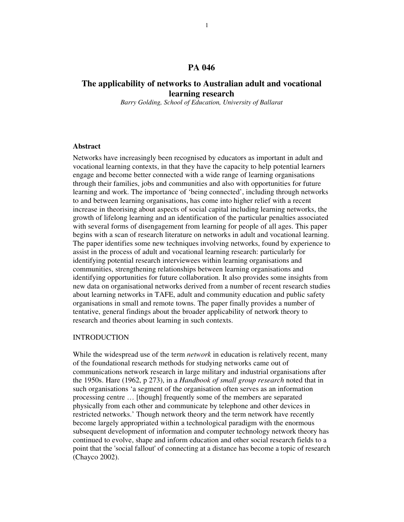# **PA 046**

# **The applicability of networks to Australian adult and vocational learning research**

*Barry Golding, School of Education, University of Ballarat*

### **Abstract**

Networks have increasingly been recognised by educators as important in adult and vocational learning contexts, in that they have the capacity to help potential learners engage and become better connected with a wide range of learning organisations through their families, jobs and communities and also with opportunities for future learning and work. The importance of 'being connected', including through networks to and between learning organisations, has come into higher relief with a recent increase in theorising about aspects of social capital including learning networks, the growth of lifelong learning and an identification of the particular penalties associated with several forms of disengagement from learning for people of all ages. This paper begins with a scan of research literature on networks in adult and vocational learning. The paper identifies some new techniques involving networks, found by experience to assist in the process of adult and vocational learning research: particularly for identifying potential research interviewees within learning organisations and communities, strengthening relationships between learning organisations and identifying opportunities for future collaboration. It also provides some insights from new data on organisational networks derived from a number of recent research studies about learning networks in TAFE, adult and community education and public safety organisations in small and remote towns. The paper finally provides a number of tentative, general findings about the broader applicability of network theory to research and theories about learning in such contexts.

## INTRODUCTION

While the widespread use of the term *network* in education is relatively recent, many of the foundational research methods for studying networks came out of communications network research in large military and industrial organisations after the 1950s. Hare (1962, p 273), in a *Handbook of small group research* noted that in such organisations 'a segment of the organisation often serves as an information processing centre … [though] frequently some of the members are separated physically from each other and communicate by telephone and other devices in restricted networks.' Though network theory and the term network have recently become largely appropriated within a technological paradigm with the enormous subsequent development of information and computer technology network theory has continued to evolve, shape and inform education and other social research fields to a point that the 'social fallout'of connecting at a distance has become a topic of research (Chayco 2002).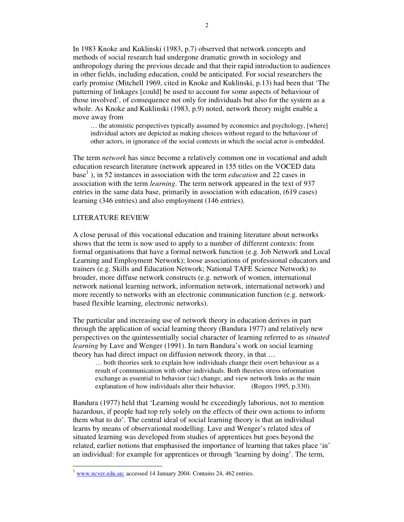In 1983 Knoke and Kuklinski (1983, p.7) observed that network concepts and methods of social research had undergone dramatic growth in sociology and anthropology during the previous decade and that their rapid introduction to audiences in other fields, including education, could be anticipated. For social researchers the early promise (Mitchell 1969, cited in Knoke and Kuklinski, p.13) had been that 'The patterning of linkages [could] be used to account for some aspects of behaviour of those involved', of consequence not only for individuals but also for the system as a whole. As Knoke and Kuklinski (1983, p.9) noted, network theory might enable a move away from

… the atomistic perspectives typically assumed by economics and psychology, [where] individual actors are depicted as making choices without regard to the behaviour of other actors, in ignorance of the social contexts in which the social actor is embedded.

The term *network* has since become a relatively common one in vocational and adult education research literature (network appeared in 155 titles on the VOCED data base 1 ), in 52 instances in association with the term *education* and 22 cases in association with the term *learning*. The term network appeared in the text of 937 entries in the same data base, primarily in association with education, (619 cases) learning (346 entries) and also employment (146 entries).

## LITERATURE REVIEW

A close perusal of this vocational education and training literature about networks shows that the term is now used to apply to a number of different contexts: from formal organisations that have a formal network function (e.g. Job Network and Local Learning and Employment Network); loose associations of professional educators and trainers (e.g. Skills and Education Network; National TAFE Science Network) to broader, more diffuse network constructs (e.g. network of women, international network national learning network, information network, international network) and more recently to networks with an electronic communication function (e.g. networkbased flexible learning, electronic networks).

The particular and increasing use of network theory in education derives in part through the application of social learning theory (Bandura 1977) and relatively new perspectives on the quintessentially social character of learning referred to as *situated learning* by Lave and Wenger (1991). In turn Bandura's work on social learning theory has had direct impact on diffusion network theory, in that …

… both theories seek to explain how individuals change their overt behaviour as a result of communication with other individuals. Both theories stress information exchange as essential to behavior (sic) change, and view network links as the main explanation of how individuals alter their behavior. (Rogers 1995, p.330).

Bandura (1977) held that 'Learning would be exceedingly laborious, not to mention hazardous, if people had top rely solely on the effects of their own actions to inform them what to do'. The central ideal of social learning theory is that an individual learns by means of observational modelling. Lave and Wenger's related idea of situated learning was developed from studies of apprentices but goes beyond the related, earlier notions that emphasised the importance of learning that takes place 'in' an individual: for example for apprentices or through 'learning by doing'. The term,

<sup>&</sup>lt;sup>1</sup> www.ncver.edu.au: accessed 14 January 2004. Contains 24, 462 entries.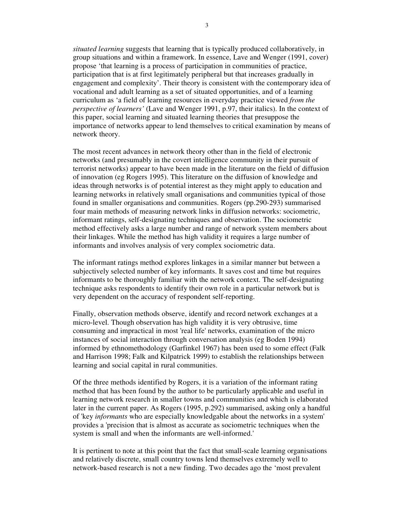*situated learning* suggests that learning that is typically produced collaboratively, in group situations and within a framework. In essence, Lave and Wenger (1991, cover) propose 'that learning is a process of participation in communities of practice, participation that is at first legitimately peripheral but that increases gradually in engagement and complexity'. Their theory is consistent with the contemporary idea of vocational and adult learning as a set of situated opportunities, and of a learning curriculum as 'a field of learning resources in everyday practice viewed *from the perspective of learners'* (Lave and Wenger 1991, p.97, their italics). In the context of this paper, social learning and situated learning theories that presuppose the importance of networks appear to lend themselves to critical examination by means of network theory.

The most recent advances in network theory other than in the field of electronic networks (and presumably in the covert intelligence community in their pursuit of terrorist networks) appear to have been made in the literature on the field of diffusion of innovation (eg Rogers 1995). This literature on the diffusion of knowledge and ideas through networks is of potential interest as they might apply to education and learning networks in relatively small organisations and communities typical of those found in smaller organisations and communities. Rogers (pp.290-293) summarised four main methods of measuring network links in diffusion networks: sociometric, informant ratings, self-designating techniques and observation. The sociometric method effectively asks a large number and range of network system members about their linkages. While the method has high validity it requires a large number of informants and involves analysis of very complex sociometric data.

The informant ratings method explores linkages in a similar manner but between a subjectively selected number of key informants. It saves cost and time but requires informants to be thoroughly familiar with the network context. The self-designating technique asks respondents to identify their own role in a particular network but is very dependent on the accuracy of respondent self-reporting.

Finally, observation methods observe, identify and record network exchanges at a micro-level. Though observation has high validity it is very obtrusive, time consuming and impractical in most 'real life'networks, examination of the micro instances of social interaction through conversation analysis (eg Boden 1994) informed by ethnomethodology (Garfinkel 1967) has been used to some effect (Falk and Harrison 1998; Falk and Kilpatrick 1999) to establish the relationships between learning and social capital in rural communities.

Of the three methods identified by Rogers, it is a variation of the informant rating method that has been found by the author to be particularly applicable and useful in learning network research in smaller towns and communities and which is elaborated later in the current paper. As Rogers (1995, p.292) summarised, asking only a handful of 'key *informants* who are especially knowledgable about the networks in a system' provides a 'precision that is almost as accurate as sociometric techniques when the system is small and when the informants are well-informed.'

It is pertinent to note at this point that the fact that small-scale learning organisations and relatively discrete, small country towns lend themselves extremely well to network-based research is not a new finding. Two decades ago the 'most prevalent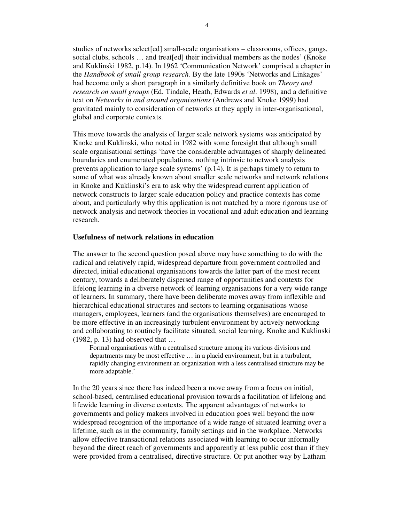studies of networks select[ed] small-scale organisations – classrooms, offices, gangs, social clubs, schools … and treat[ed] their individual members as the nodes' (Knoke and Kuklinski 1982, p.14). In 1962 'Communication Network' comprised a chapter in the *Handbook of small group research.* By the late 1990s 'Networks and Linkages' had become only a short paragraph in a similarly definitive book on *Theory and research on small groups* (Ed. Tindale, Heath, Edwards *et al*. 1998), and a definitive text on *Networks in and around organisations* (Andrews and Knoke 1999) had gravitated mainly to consideration of networks at they apply in inter-organisational, global and corporate contexts.

This move towards the analysis of larger scale network systems was anticipated by Knoke and Kuklinski, who noted in 1982 with some foresight that although small scale organisational settings 'have the considerable advantages of sharply delineated boundaries and enumerated populations, nothing intrinsic to network analysis prevents application to large scale systems' (p.14). It is perhaps timely to return to some of what was already known about smaller scale networks and network relations in Knoke and Kuklinski's era to ask why the widespread current application of network constructs to larger scale education policy and practice contexts has come about, and particularly why this application is not matched by a more rigorous use of network analysis and network theories in vocational and adult education and learning research.

### **Usefulness of network relations in education**

The answer to the second question posed above may have something to do with the radical and relatively rapid, widespread departure from government controlled and directed, initial educational organisations towards the latter part of the most recent century, towards a deliberately dispersed range of opportunities and contexts for lifelong learning in a diverse network of learning organisations for a very wide range of learners. In summary, there have been deliberate moves away from inflexible and hierarchical educational structures and sectors to learning organisations whose managers, employees, learners (and the organisations themselves) are encouraged to be more effective in an increasingly turbulent environment by actively networking and collaborating to routinely facilitate situated, social learning. Knoke and Kuklinski (1982, p. 13) had observed that …

Formal organisations with a centralised structure among its various divisions and departments may be most effective … in a placid environment, but in a turbulent, rapidly changing environment an organization with a less centralised structure may be more adaptable.'

In the 20 years since there has indeed been a move away from a focus on initial, school-based, centralised educational provision towards a facilitation of lifelong and lifewide learning in diverse contexts. The apparent advantages of networks to governments and policy makers involved in education goes well beyond the now widespread recognition of the importance of a wide range of situated learning over a lifetime, such as in the community, family settings and in the workplace. Networks allow effective transactional relations associated with learning to occur informally beyond the direct reach of governments and apparently at less public cost than if they were provided from a centralised, directive structure. Or put another way by Latham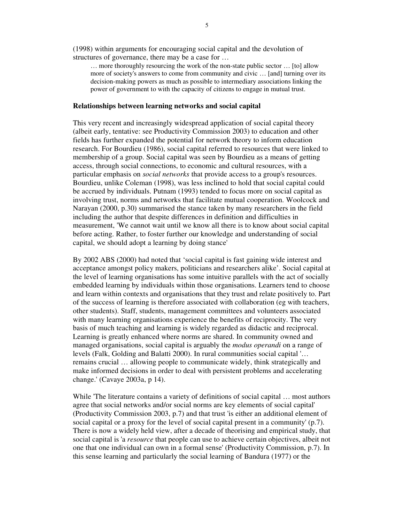(1998) within arguments for encouraging social capital and the devolution of structures of governance, there may be a case for …

… more thoroughly resourcing the work of the non-state public sector … [to] allow more of society's answers to come from community and civic … [and] turning over its decision-making powers as much as possible to intermediary associations linking the power of government to with the capacity of citizens to engage in mutual trust.

### **Relationships between learning networks and social capital**

This very recent and increasingly widespread application of social capital theory (albeit early, tentative: see Productivity Commission 2003) to education and other fields has further expanded the potential for network theory to inform education research. For Bourdieu (1986), social capital referred to resources that were linked to membership of a group. Social capital was seen by Bourdieu as a means of getting access, through social connections, to economic and cultural resources, with a particular emphasis on *social networks* that provide access to a group's resources. Bourdieu, unlike Coleman (1998), was less inclined to hold that social capital could be accrued by individuals. Putnam (1993) tended to focus more on social capital as involving trust, norms and networks that facilitate mutual cooperation. Woolcock and Narayan (2000, p.30) summarised the stance taken by many researchers in the field including the author that despite differences in definition and difficulties in measurement, 'We cannot wait until we know all there is to know about social capital before acting. Rather, to foster further our knowledge and understanding of social capital, we should adopt a learning by doing stance'

By 2002 ABS (2000) had noted that 'social capital is fast gaining wide interest and acceptance amongst policy makers, politicians and researchers alike'. Social capital at the level of learning organisations has some intuitive parallels with the act of socially embedded learning by individuals within those organisations. Learners tend to choose and learn within contexts and organisations that they trust and relate positively to. Part of the success of learning is therefore associated with collaboration (eg with teachers, other students). Staff, students, management committees and volunteers associated with many learning organisations experience the benefits of reciprocity. The very basis of much teaching and learning is widely regarded as didactic and reciprocal. Learning is greatly enhanced where norms are shared. In community owned and managed organisations, social capital is arguably the *modus operandi* on a range of levels (Falk, Golding and Balatti 2000). In rural communities social capital '… remains crucial … allowing people to communicate widely, think strategically and make informed decisions in order to deal with persistent problems and accelerating change.'(Cavaye 2003a, p 14).

While 'The literature contains a variety of definitions of social capital ... most authors agree that social networks and/or social norms are key elements of social capital' (Productivity Commission 2003, p.7) and that trust 'is either an additional element of social capital or a proxy for the level of social capital present in a community' (p.7). There is now a widely held view, after a decade of theorising and empirical study, that social capital is 'a *resource* that people can use to achieve certain objectives, albeit not one that one individual can own in a formal sense'(Productivity Commission, p.7). In this sense learning and particularly the social learning of Bandura (1977) or the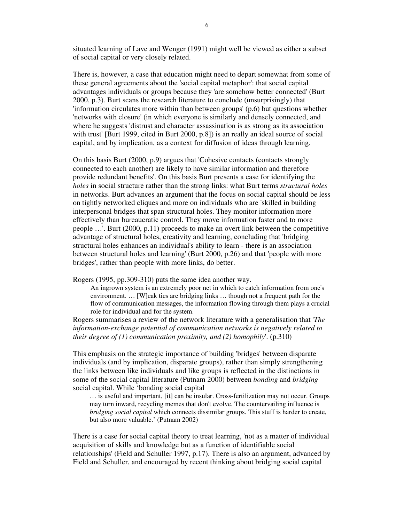situated learning of Lave and Wenger (1991) might well be viewed as either a subset of social capital or very closely related.

There is, however, a case that education might need to depart somewhat from some of these general agreements about the 'social capital metaphor': that social capital advantages individuals or groups because they 'are somehow better connected'(Burt 2000, p.3). Burt scans the research literature to conclude (unsurprisingly) that 'information circulates more within than between groups'(p.6) but questions whether 'networks with closure'(in which everyone is similarly and densely connected, and where he suggests 'distrust and character assassination is as strong as its association with trust' [Burt 1999, cited in Burt 2000, p.8]) is an really an ideal source of social capital, and by implication, as a context for diffusion of ideas through learning.

On this basis Burt (2000, p.9) argues that 'Cohesive contacts (contacts strongly connected to each another) are likely to have similar information and therefore provide redundant benefits'. On this basis Burt presents a case for identifying the *holes* in social structure rather than the strong links: what Burt terms *structural holes* in networks. Burt advances an argument that the focus on social capital should be less on tightly networked cliques and more on individuals who are 'skilled in building interpersonal bridges that span structural holes. They monitor information more effectively than bureaucratic control. They move information faster and to more people …'. Burt (2000, p.11) proceeds to make an overt link between the competitive advantage of structural holes, creativity and learning, concluding that 'bridging structural holes enhances an individual's ability to learn - there is an association between structural holes and learning'(Burt 2000, p.26) and that 'people with more bridges', rather than people with more links, do better.

Rogers (1995, pp.309-310) puts the same idea another way.

An ingrown system is an extremely poor net in which to catch information from one's environment. … [W]eak ties are bridging links … though not a frequent path for the flow of communication messages, the information flowing through them plays a crucial role for individual and for the system.

Rogers summarises a review of the network literature with a generalisation that '*The information-exchange potential of communication networks is negatively related to their degree of (1) communication proximity, and (2) homophily*'. (p.310)

This emphasis on the strategic importance of building 'bridges'between disparate individuals (and by implication, disparate groups), rather than simply strengthening the links between like individuals and like groups is reflected in the distinctions in some of the social capital literature (Putnam 2000) between *bonding* and *bridging* social capital. While 'bonding social capital

… is useful and important, [it] can be insular. Cross-fertilization may not occur. Groups may turn inward, recycling memes that don't evolve. The countervailing influence is *bridging social capital* which connects dissimilar groups. This stuff is harder to create, but also more valuable.' (Putnam 2002)

There is a case for social capital theory to treat learning, 'not as a matter of individual acquisition of skills and knowledge but as a function of identifiable social relationships'(Field and Schuller 1997, p.17). There is also an argument, advanced by Field and Schuller, and encouraged by recent thinking about bridging social capital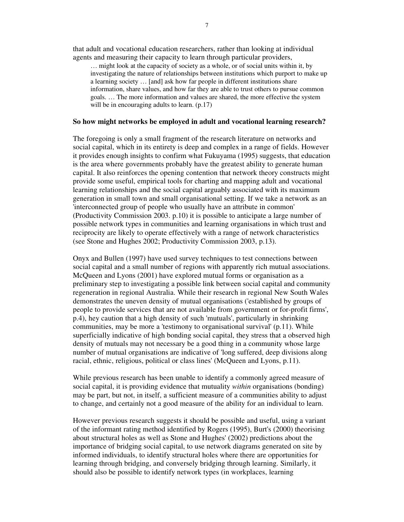that adult and vocational education researchers, rather than looking at individual agents and measuring their capacity to learn through particular providers,

… might look at the capacity of society as a whole, or of social units within it, by investigating the nature of relationships between institutions which purport to make up a learning society … [and] ask how far people in different institutions share information, share values, and how far they are able to trust others to pursue common goals. … The more information and values are shared, the more effective the system will be in encouraging adults to learn.  $(p.17)$ 

## **So how might networks be employed in adult and vocational learning research?**

The foregoing is only a small fragment of the research literature on networks and social capital, which in its entirety is deep and complex in a range of fields. However it provides enough insights to confirm what Fukuyama (1995) suggests, that education is the area where governments probably have the greatest ability to generate human capital. It also reinforces the opening contention that network theory constructs might provide some useful, empirical tools for charting and mapping adult and vocational learning relationships and the social capital arguably associated with its maximum generation in small town and small organisational setting. If we take a network as an 'interconnected group of people who usually have an attribute in common' (Productivity Commission 2003. p.10) it is possible to anticipate a large number of possible network types in communities and learning organisations in which trust and reciprocity are likely to operate effectively with a range of network characteristics (see Stone and Hughes 2002; Productivity Commission 2003, p.13).

Onyx and Bullen (1997) have used survey techniques to test connections between social capital and a small number of regions with apparently rich mutual associations. McQueen and Lyons (2001) have explored mutual forms or organisation as a preliminary step to investigating a possible link between social capital and community regeneration in regional Australia. While their research in regional New South Wales demonstrates the uneven density of mutual organisations ('established by groups of people to provide services that are not available from government or for-profit firms', p.4), hey caution that a high density of such 'mutuals', particularly in shrinking communities, may be more a 'testimony to organisational survival'(p.11). While superficially indicative of high bonding social capital, they stress that a observed high density of mutuals may not necessary be a good thing in a community whose large number of mutual organisations are indicative of 'long suffered, deep divisions along racial, ethnic, religious, political or class lines'(McQueen and Lyons, p.11).

While previous research has been unable to identify a commonly agreed measure of social capital, it is providing evidence that mutuality *within* organisations (bonding) may be part, but not, in itself, a sufficient measure of a communities ability to adjust to change, and certainly not a good measure of the ability for an individual to learn.

However previous research suggests it should be possible and useful, using a variant of the informant rating method identified by Rogers (1995), Burt's (2000) theorising about structural holes as well as Stone and Hughes'(2002) predictions about the importance of bridging social capital, to use network diagrams generated on site by informed individuals, to identify structural holes where there are opportunities for learning through bridging, and conversely bridging through learning. Similarly, it should also be possible to identify network types (in workplaces, learning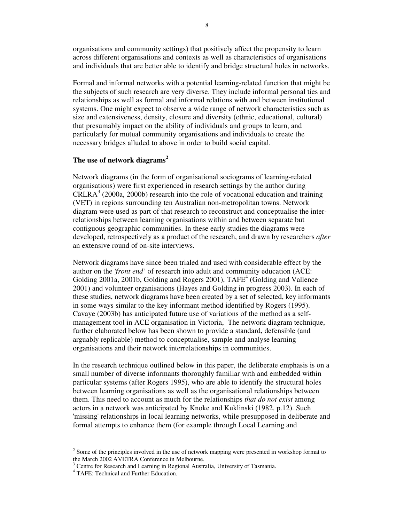organisations and community settings) that positively affect the propensity to learn across different organisations and contexts as well as characteristics of organisations and individuals that are better able to identify and bridge structural holes in networks.

Formal and informal networks with a potential learning-related function that might be the subjects of such research are very diverse. They include informal personal ties and relationships as well as formal and informal relations with and between institutional systems. One might expect to observe a wide range of network characteristics such as size and extensiveness, density, closure and diversity (ethnic, educational, cultural) that presumably impact on the ability of individuals and groups to learn, and particularly for mutual community organisations and individuals to create the necessary bridges alluded to above in order to build social capital.

# **The use of network diagrams 2**

Network diagrams (in the form of organisational sociograms of learning-related organisations) were first experienced in research settings by the author during  $CRLRA<sup>3</sup>$  (2000a, 2000b) research into the role of vocational education and training (VET) in regions surrounding ten Australian non-metropolitan towns. Network diagram were used as part of that research to reconstruct and conceptualise the interrelationships between learning organisations within and between separate but contiguous geographic communities. In these early studies the diagrams were developed, retrospectively as a product of the research, and drawn by researchers *after* an extensive round of on-site interviews.

Network diagrams have since been trialed and used with considerable effect by the author on the *'front end'* of research into adult and community education (ACE: Golding 2001a, 2001b, Golding and Rogers 2001), TAFE<sup>4</sup> (Golding and Vallence 2001) and volunteer organisations (Hayes and Golding in progress 2003). In each of these studies, network diagrams have been created by a set of selected, key informants in some ways similar to the key informant method identified by Rogers (1995). Cavaye (2003b) has anticipated future use of variations of the method as a selfmanagement tool in ACE organisation in Victoria, The network diagram technique, further elaborated below has been shown to provide a standard, defensible (and arguably replicable) method to conceptualise, sample and analyse learning organisations and their network interrelationships in communities.

In the research technique outlined below in this paper, the deliberate emphasis is on a small number of diverse informants thoroughly familiar with and embedded within particular systems (after Rogers 1995), who are able to identify the structural holes between learning organisations as well as the organisational relationships between them. This need to account as much for the relationships *that do not exist* among actors in a network was anticipated by Knoke and Kuklinski (1982, p.12). Such 'missing'relationships in local learning networks, while presupposed in deliberate and formal attempts to enhance them (for example through Local Learning and

 $2^{2}$  Some of the principles involved in the use of network mapping were presented in workshop format to the March 2002 AVETRA Conference in Melbourne.

<sup>&</sup>lt;sup>3</sup> Centre for Research and Learning in Regional Australia, University of Tasmania.

<sup>4</sup> TAFE: Technical and Further Education.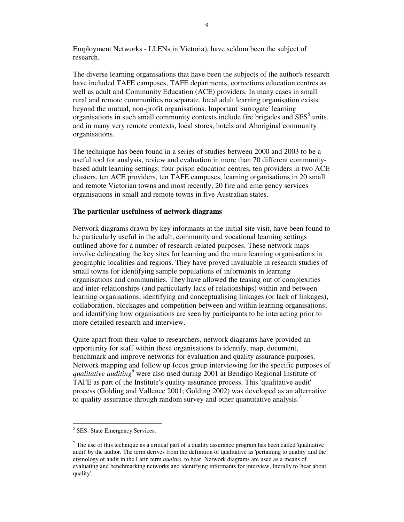Employment Networks - LLENs in Victoria), have seldom been the subject of research.

The diverse learning organisations that have been the subjects of the author's research have included TAFE campuses, TAFE departments, corrections education centres as well as adult and Community Education (ACE) providers. In many cases in small rural and remote communities no separate, local adult learning organisation exists beyond the mutual, non-profit organisations. Important 'surrogate'learning organisations in such small community contexts include fire brigades and SES<sup>5</sup> units, and in many very remote contexts, local stores, hotels and Aboriginal community organisations.

The technique has been found in a series of studies between 2000 and 2003 to be a useful tool for analysis, review and evaluation in more than 70 different communitybased adult learning settings: four prison education centres, ten providers in two ACE clusters, ten ACE providers, ten TAFE campuses, learning organisations in 20 small and remote Victorian towns and most recently, 20 fire and emergency services organisations in small and remote towns in five Australian states.

## **The particular usefulness of network diagrams**

Network diagrams drawn by key informants at the initial site visit, have been found to be particularly useful in the adult, community and vocational learning settings outlined above for a number of research-related purposes. These network maps involve delineating the key sites for learning and the main learning organisations in geographic localities and regions. They have proved invaluable in research studies of small towns for identifying sample populations of informants in learning organisations and communities. They have allowed the teasing out of complexities and inter-relationships (and particularly lack of relationships) within and between learning organisations; identifying and conceptualising linkages (or lack of linkages), collaboration, blockages and competition between and within learning organisations; and identifying how organisations are seen by participants to be interacting prior to more detailed research and interview.

Quite apart from their value to researchers, network diagrams have provided an opportunity for staff within these organisations to identify, map, document, benchmark and improve networks for evaluation and quality assurance purposes. Network mapping and follow up focus group interviewing for the specific purposes of *qualitative auditing 6* were also used during 2001 at Bendigo Regional Institute of TAFE as part of the Institute's quality assurance process. This 'qualitative audit' process (Golding and Vallence 2001; Golding 2002) was developed as an alternative to quality assurance through random survey and other quantitative analysis.<sup>7</sup>

<sup>&</sup>lt;sup>5</sup> SES: State Emergency Services.

 $<sup>7</sup>$  The use of this technique as a critical part of a quality assurance program has been called 'qualitative'</sup> audit'by the author. The term derives from the definition of qualitative as 'pertaining to quality'and the etymology of audit in the Latin term *auditus*, to hear. Network diagrams are used as a means of evaluating and benchmarking networks and identifying informants for interview, literally to 'hear about quality'.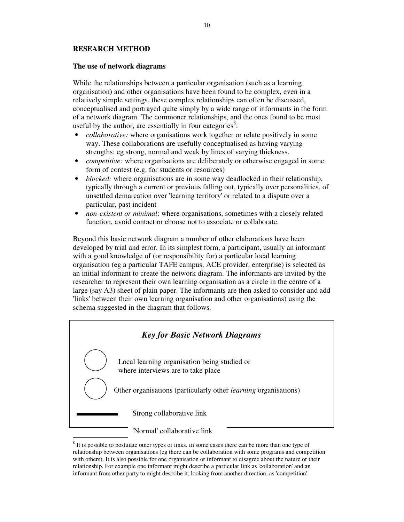# **RESEARCH METHOD**

## **The use of network diagrams**

While the relationships between a particular organisation (such as a learning organisation) and other organisations have been found to be complex, even in a relatively simple settings, these complex relationships can often be discussed, conceptualised and portrayed quite simply by a wide range of informants in the form of a network diagram. The commoner relationships, and the ones found to be most useful by the author, are essentially in four categories $\delta$ :

- *collaborative:* where organisations work together or relate positively in some way. These collaborations are usefully conceptualised as having varying strengths: eg strong, normal and weak by lines of varying thickness.
- *competitive:* where organisations are deliberately or otherwise engaged in some form of contest (e.g. for students or resources)
- *blocked:* where organisations are in some way deadlocked in their relationship, typically through a current or previous falling out, typically over personalities, of unsettled demarcation over 'learning territory'or related to a dispute over a particular, past incident
- *non-existent or minimal*: where organisations, sometimes with a closely related function, avoid contact or choose not to associate or collaborate.

Beyond this basic network diagram a number of other elaborations have been developed by trial and error. In its simplest form, a participant, usually an informant with a good knowledge of (or responsibility for) a particular local learning organisation (eg a particular TAFE campus, ACE provider, enterprise) is selected as an initial informant to create the network diagram. The informants are invited by the researcher to represent their own learning organisation as a circle in the centre of a large (say A3) sheet of plain paper. The informants are then asked to consider and add 'links'between their own learning organisation and other organisations) using the schema suggested in the diagram that follows.



<sup>&</sup>lt;sup>8</sup> It is possible to postulate other types of links. In some cases there can be more than one type of relationship between organisations (eg there can be collaboration with some programs and competition with others). It is also possible for one organisation or informant to disagree about the nature of their relationship. For example one informant might describe a particular link as 'collaboration'and an informant from other party to might describe it, looking from another direction, as 'competition'.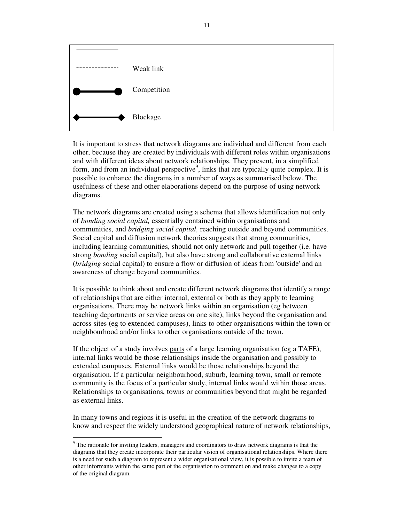

It is important to stress that network diagrams are individual and different from each other, because they are created by individuals with different roles within organisations and with different ideas about network relationships. They present, in a simplified form, and from an individual perspective<sup>9</sup>, links that are typically quite complex. It is possible to enhance the diagrams in a number of ways as summarised below. The usefulness of these and other elaborations depend on the purpose of using network diagrams.

The network diagrams are created using a schema that allows identification not only of *bonding social capital,* essentially contained within organisations and communities, and *bridging social capital,* reaching outside and beyond communities. Social capital and diffusion network theories suggests that strong communities, including learning communities, should not only network and pull together (i.e. have strong *bonding* social capital), but also have strong and collaborative external links (*bridging* social capital) to ensure a flow or diffusion of ideas from 'outside'and an awareness of change beyond communities.

It is possible to think about and create different network diagrams that identify a range of relationships that are either internal, external or both as they apply to learning organisations. There may be network links within an organisation (eg between teaching departments or service areas on one site), links beyond the organisation and across sites (eg to extended campuses), links to other organisations within the town or neighbourhood and/or links to other organisations outside of the town.

If the object of a study involves parts of a large learning organisation (eg a TAFE), internal links would be those relationships inside the organisation and possibly to extended campuses. External links would be those relationships beyond the organisation. If a particular neighbourhood, suburb, learning town, small or remote community is the focus of a particular study, internal links would within those areas. Relationships to organisations, towns or communities beyond that might be regarded as external links.

In many towns and regions it is useful in the creation of the network diagrams to know and respect the widely understood geographical nature of network relationships,

<sup>&</sup>lt;sup>9</sup> The rationale for inviting leaders, managers and coordinators to draw network diagrams is that the diagrams that they create incorporate their particular vision of organisational relationships. Where there is a need for such a diagram to represent a wider organisational view, it is possible to invite a team of other informants within the same part of the organisation to comment on and make changes to a copy of the original diagram.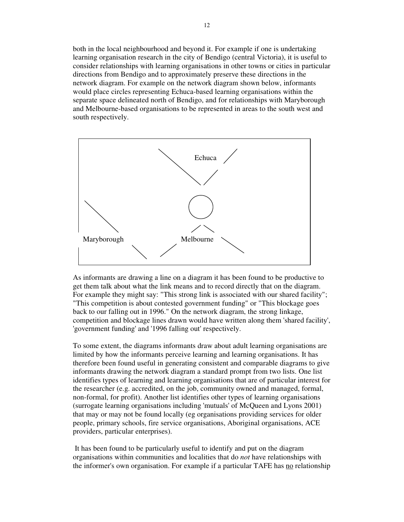both in the local neighbourhood and beyond it. For example if one is undertaking learning organisation research in the city of Bendigo (central Victoria), it is useful to consider relationships with learning organisations in other towns or cities in particular directions from Bendigo and to approximately preserve these directions in the network diagram. For example on the network diagram shown below, informants would place circles representing Echuca-based learning organisations within the separate space delineated north of Bendigo, and for relationships with Maryborough and Melbourne-based organisations to be represented in areas to the south west and south respectively.



As informants are drawing a line on a diagram it has been found to be productive to get them talk about what the link means and to record directly that on the diagram. For example they might say: "This strong link is associated with our shared facility"; "This competition is about contested government funding" or "This blockage goes back to our falling out in 1996." On the network diagram, the strong linkage, competition and blockage lines drawn would have written along them 'shared facility', 'government funding'and '1996 falling out'respectively.

To some extent, the diagrams informants draw about adult learning organisations are limited by how the informants perceive learning and learning organisations. It has therefore been found useful in generating consistent and comparable diagrams to give informants drawing the network diagram a standard prompt from two lists. One list identifies types of learning and learning organisations that are of particular interest for the researcher (e.g. accredited, on the job, community owned and managed, formal, non-formal, for profit). Another list identifies other types of learning organisations (surrogate learning organisations including 'mutuals'of McQueen and Lyons 2001) that may or may not be found locally (eg organisations providing services for older people, primary schools, fire service organisations, Aboriginal organisations, ACE providers, particular enterprises).

It has been found to be particularly useful to identify and put on the diagram organisations within communities and localities that do *not* have relationships with the informer's own organisation. For example if a particular TAFE has no relationship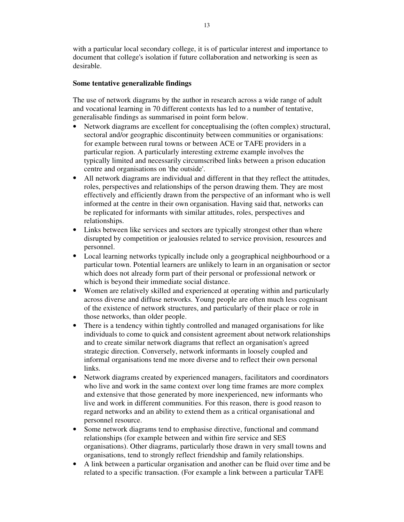with a particular local secondary college, it is of particular interest and importance to document that college's isolation if future collaboration and networking is seen as desirable.

## **Some tentative generalizable findings**

The use of network diagrams by the author in research across a wide range of adult and vocational learning in 70 different contexts has led to a number of tentative, generalisable findings as summarised in point form below.

- Network diagrams are excellent for conceptualising the (often complex) structural, sectoral and/or geographic discontinuity between communities or organisations: for example between rural towns or between ACE or TAFE providers in a particular region. A particularly interesting extreme example involves the typically limited and necessarily circumscribed links between a prison education centre and organisations on 'the outside'.
- All network diagrams are individual and different in that they reflect the attitudes, roles, perspectives and relationships of the person drawing them. They are most effectively and efficiently drawn from the perspective of an informant who is well informed at the centre in their own organisation. Having said that, networks can be replicated for informants with similar attitudes, roles, perspectives and relationships.
- Links between like services and sectors are typically strongest other than where disrupted by competition or jealousies related to service provision, resources and personnel.
- Local learning networks typically include only a geographical neighbourhood or a particular town. Potential learners are unlikely to learn in an organisation or sector which does not already form part of their personal or professional network or which is beyond their immediate social distance.
- Women are relatively skilled and experienced at operating within and particularly across diverse and diffuse networks. Young people are often much less cognisant of the existence of network structures, and particularly of their place or role in those networks, than older people.
- There is a tendency within tightly controlled and managed organisations for like individuals to come to quick and consistent agreement about network relationships and to create similar network diagrams that reflect an organisation's agreed strategic direction. Conversely, network informants in loosely coupled and informal organisations tend me more diverse and to reflect their own personal links.
- Network diagrams created by experienced managers, facilitators and coordinators who live and work in the same context over long time frames are more complex and extensive that those generated by more inexperienced, new informants who live and work in different communities. For this reason, there is good reason to regard networks and an ability to extend them as a critical organisational and personnel resource.
- Some network diagrams tend to emphasise directive, functional and command relationships (for example between and within fire service and SES organisations). Other diagrams, particularly those drawn in very small towns and organisations, tend to strongly reflect friendship and family relationships.
- A link between a particular organisation and another can be fluid over time and be related to a specific transaction. (For example a link between a particular TAFE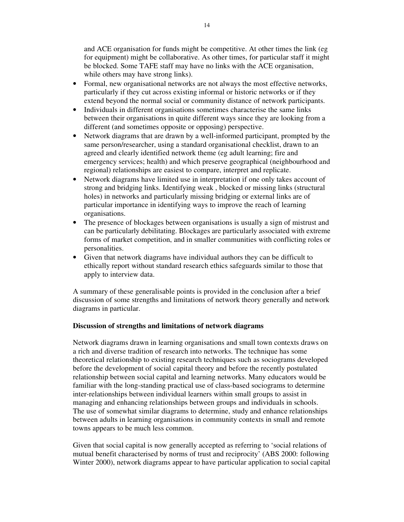and ACE organisation for funds might be competitive. At other times the link (eg for equipment) might be collaborative. As other times, for particular staff it might be blocked. Some TAFE staff may have no links with the ACE organisation, while others may have strong links).

- Formal, new organisational networks are not always the most effective networks, particularly if they cut across existing informal or historic networks or if they extend beyond the normal social or community distance of network participants.
- Individuals in different organisations sometimes characterise the same links between their organisations in quite different ways since they are looking from a different (and sometimes opposite or opposing) perspective.
- Network diagrams that are drawn by a well-informed participant, prompted by the same person/researcher, using a standard organisational checklist, drawn to an agreed and clearly identified network theme (eg adult learning; fire and emergency services; health) and which preserve geographical (neighbourhood and regional) relationships are easiest to compare, interpret and replicate.
- Network diagrams have limited use in interpretation if one only takes account of strong and bridging links. Identifying weak , blocked or missing links (structural holes) in networks and particularly missing bridging or external links are of particular importance in identifying ways to improve the reach of learning organisations.
- The presence of blockages between organisations is usually a sign of mistrust and can be particularly debilitating. Blockages are particularly associated with extreme forms of market competition, and in smaller communities with conflicting roles or personalities.
- Given that network diagrams have individual authors they can be difficult to ethically report without standard research ethics safeguards similar to those that apply to interview data.

A summary of these generalisable points is provided in the conclusion after a brief discussion of some strengths and limitations of network theory generally and network diagrams in particular.

# **Discussion of strengths and limitations of network diagrams**

Network diagrams drawn in learning organisations and small town contexts draws on a rich and diverse tradition of research into networks. The technique has some theoretical relationship to existing research techniques such as sociograms developed before the development of social capital theory and before the recently postulated relationship between social capital and learning networks. Many educators would be familiar with the long-standing practical use of class-based sociograms to determine inter-relationships between individual learners within small groups to assist in managing and enhancing relationships between groups and individuals in schools. The use of somewhat similar diagrams to determine, study and enhance relationships between adults in learning organisations in community contexts in small and remote towns appears to be much less common.

Given that social capital is now generally accepted as referring to 'social relations of mutual benefit characterised by norms of trust and reciprocity' (ABS 2000: following Winter 2000), network diagrams appear to have particular application to social capital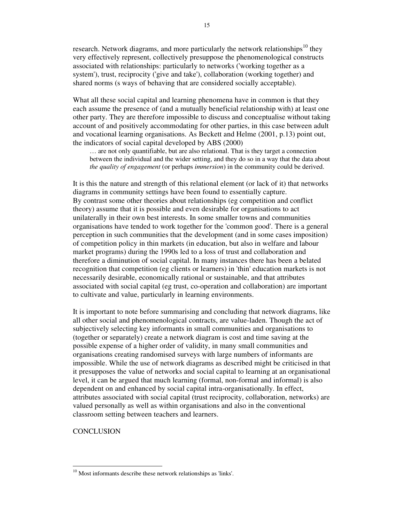research. Network diagrams, and more particularly the network relationships<sup>10</sup> they very effectively represent, collectively presuppose the phenomenological constructs associated with relationships: particularly to networks ('working together as a system'), trust, reciprocity ('give and take'), collaboration (working together) and shared norms (s ways of behaving that are considered socially acceptable).

What all these social capital and learning phenomena have in common is that they each assume the presence of (and a mutually beneficial relationship with) at least one other party. They are therefore impossible to discuss and conceptualise without taking account of and positively accommodating for other parties, in this case between adult and vocational learning organisations. As Beckett and Helme (2001, p.13) point out, the indicators of social capital developed by ABS (2000)

… are not only quantifiable, but are also relational. That is they target a connection between the individual and the wider setting, and they do so in a way that the data about *the quality of engagement* (or perhaps *immersion*) in the community could be derived.

It is this the nature and strength of this relational element (or lack of it) that networks diagrams in community settings have been found to essentially capture. By contrast some other theories about relationships (eg competition and conflict theory) assume that it is possible and even desirable for organisations to act unilaterally in their own best interests. In some smaller towns and communities organisations have tended to work together for the 'common good'. There is a general perception in such communities that the development (and in some cases imposition) of competition policy in thin markets (in education, but also in welfare and labour market programs) during the 1990s led to a loss of trust and collaboration and therefore a diminution of social capital. In many instances there has been a belated recognition that competition (eg clients or learners) in 'thin'education markets is not necessarily desirable, economically rational or sustainable, and that attributes associated with social capital (eg trust, co-operation and collaboration) are important to cultivate and value, particularly in learning environments.

It is important to note before summarising and concluding that network diagrams, like all other social and phenomenological contracts, are value-laden. Though the act of subjectively selecting key informants in small communities and organisations to (together or separately) create a network diagram is cost and time saving at the possible expense of a higher order of validity, in many small communities and organisations creating randomised surveys with large numbers of informants are impossible. While the use of network diagrams as described might be criticised in that it presupposes the value of networks and social capital to learning at an organisational level, it can be argued that much learning (formal, non-formal and informal) is also dependent on and enhanced by social capital intra-organisationally. In effect, attributes associated with social capital (trust reciprocity, collaboration, networks) are valued personally as well as within organisations and also in the conventional classroom setting between teachers and learners.

**CONCLUSION** 

 $10$  Most informants describe these network relationships as 'links'.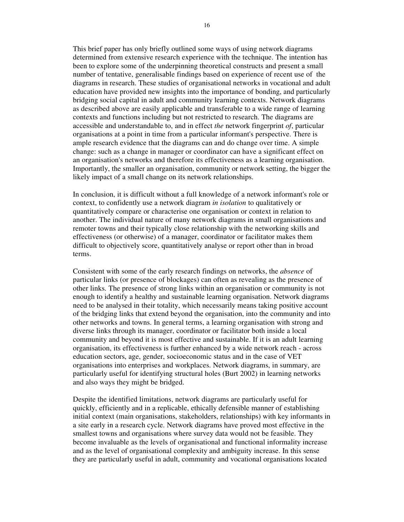This brief paper has only briefly outlined some ways of using network diagrams determined from extensive research experience with the technique. The intention has been to explore some of the underpinning theoretical constructs and present a small number of tentative, generalisable findings based on experience of recent use of the diagrams in research. These studies of organisational networks in vocational and adult education have provided new insights into the importance of bonding, and particularly bridging social capital in adult and community learning contexts. Network diagrams as described above are easily applicable and transferable to a wide range of learning contexts and functions including but not restricted to research. The diagrams are accessible and understandable to, and in effect *the* network fingerprint *of*, particular organisations at a point in time from a particular informant's perspective. There is ample research evidence that the diagrams can and do change over time. A simple change: such as a change in manager or coordinator can have a significant effect on an organisation's networks and therefore its effectiveness as a learning organisation. Importantly, the smaller an organisation, community or network setting, the bigger the likely impact of a small change on its network relationships.

In conclusion, it is difficult without a full knowledge of a network informant's role or context, to confidently use a network diagram *in isolation* to qualitatively or quantitatively compare or characterise one organisation or context in relation to another. The individual nature of many network diagrams in small organisations and remoter towns and their typically close relationship with the networking skills and effectiveness (or otherwise) of a manager, coordinator or facilitator makes them difficult to objectively score, quantitatively analyse or report other than in broad terms.

Consistent with some of the early research findings on networks, the *absence* of particular links (or presence of blockages) can often as revealing as the presence of other links. The presence of strong links within an organisation or community is not enough to identify a healthy and sustainable learning organisation. Network diagrams need to be analysed in their totality, which necessarily means taking positive account of the bridging links that extend beyond the organisation, into the community and into other networks and towns. In general terms, a learning organisation with strong and diverse links through its manager, coordinator or facilitator both inside a local community and beyond it is most effective and sustainable. If it is an adult learning organisation, its effectiveness is further enhanced by a wide network reach - across education sectors, age, gender, socioeconomic status and in the case of VET organisations into enterprises and workplaces. Network diagrams, in summary, are particularly useful for identifying structural holes (Burt 2002) in learning networks and also ways they might be bridged.

Despite the identified limitations, network diagrams are particularly useful for quickly, efficiently and in a replicable, ethically defensible manner of establishing initial context (main organisations, stakeholders, relationships) with key informants in a site early in a research cycle. Network diagrams have proved most effective in the smallest towns and organisations where survey data would not be feasible. They become invaluable as the levels of organisational and functional informality increase and as the level of organisational complexity and ambiguity increase. In this sense they are particularly useful in adult, community and vocational organisations located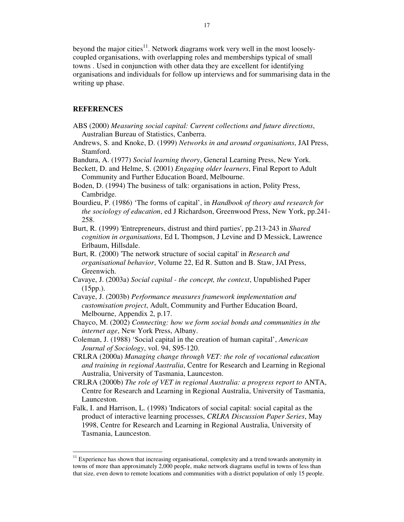beyond the major cities<sup>11</sup>. Network diagrams work very well in the most looselycoupled organisations, with overlapping roles and memberships typical of small towns . Used in conjunction with other data they are excellent for identifying organisations and individuals for follow up interviews and for summarising data in the writing up phase.

# **REFERENCES**

- ABS (2000) *Measuring social capital: Current collections and future directions*, Australian Bureau of Statistics, Canberra.
- Andrews, S. and Knoke, D. (1999) *Networks in and around organisations*, JAI Press, Stamford.
- Bandura, A. (1977) *Social learning theory*, General Learning Press, New York.
- Beckett, D. and Helme, S. (2001) *Engaging older learners*, Final Report to Adult Community and Further Education Board, Melbourne.
- Boden, D. (1994) The business of talk: organisations in action, Polity Press, Cambridge.
- Bourdieu, P. (1986) 'The forms of capital', in *Handbook of theory and research for the sociology of education*, ed J Richardson, Greenwood Press, New York, pp.241- 258.
- Burt, R. (1999) 'Entrepreneurs, distrust and third parties', pp.213-243 in *Shared cognition in organisations*, Ed L Thompson, J Levine and D Messick, Lawrence Erlbaum, Hillsdale.
- Burt, R. (2000) 'The network structure of social capital'in *Research and organisational behavior*, Volume 22, Ed R. Sutton and B. Staw, JAI Press, Greenwich.
- Cavaye, J. (2003a) *Social capital - the concept, the context*, Unpublished Paper (15pp.).
- Cavaye, J. (2003b) *Performance measures framework implementation and customisation project*, Adult, Community and Further Education Board, Melbourne, Appendix 2, p.17.
- Chayco, M. (2002) *Connecting: how we form social bonds and communities in the internet age*, New York Press, Albany.
- Coleman, J. (1988) 'Social capital in the creation of human capital', *American Journal of Sociology*, vol. 94, S95-120.
- CRLRA (2000a) *Managing change through VET: the role of vocational education and training in regional Australia*, Centre for Research and Learning in Regional Australia, University of Tasmania, Launceston.
- CRLRA (2000b) *The role of VET in regional Australia: a progress report to* ANTA, Centre for Research and Learning in Regional Australia, University of Tasmania, Launceston.
- Falk, I. and Harrison, L. (1998) 'Indicators of social capital: social capital as the product of interactive learning processes, *CRLRA Discussion Paper Series*, May 1998, Centre for Research and Learning in Regional Australia, University of Tasmania, Launceston.

<sup>&</sup>lt;sup>11</sup> Experience has shown that increasing organisational, complexity and a trend towards anonymity in towns of more than approximately 2,000 people, make network diagrams useful in towns of less than that size, even down to remote locations and communities with a district population of only 15 people.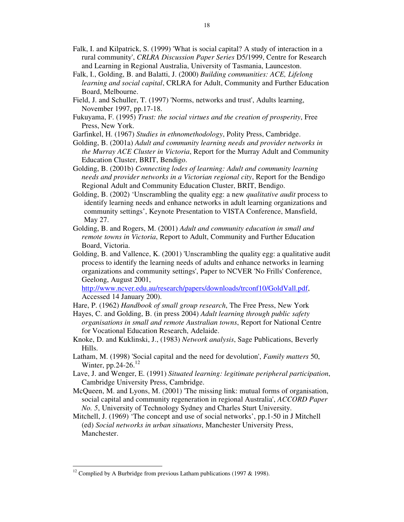- Falk, I. and Kilpatrick, S. (1999) 'What is social capital? A study of interaction in a rural community', *CRLRA Discussion Paper Series* D5/1999, Centre for Research and Learning in Regional Australia, University of Tasmania, Launceston.
- Falk, I., Golding, B. and Balatti, J. (2000) *Building communities: ACE, Lifelong learning and social capital*, CRLRA for Adult, Community and Further Education Board, Melbourne.
- Field, J. and Schuller, T. (1997) 'Norms, networks and trust', Adults learning, November 1997, pp.17-18.
- Fukuyama, F. (1995) *Trust: the social virtues and the creation of prosperity*, Free Press, New York.
- Garfinkel, H. (1967) *Studies in ethnomethodology*, Polity Press, Cambridge.
- Golding, B. (2001a) *Adult and community learning needs and provider networks in the Murray ACE Cluster in Victoria*, Report for the Murray Adult and Community Education Cluster, BRIT, Bendigo.
- Golding, B. (2001b) *Connecting lodes of learning: Adult and community learning needs and provider networks in a Victorian regional city*, Report for the Bendigo Regional Adult and Community Education Cluster, BRIT, Bendigo.
- Golding, B. (2002) 'Unscrambling the quality egg: a new *qualitative audit* process to identify learning needs and enhance networks in adult learning organizations and community settings', Keynote Presentation to VISTA Conference, Mansfield, May 27.
- Golding, B. and Rogers, M. (2001) *Adult and community education in small and remote towns in Victoria*, Report to Adult, Community and Further Education Board, Victoria.
- Golding, B. and Vallence, K. (2001) 'Unscrambling the quality egg: a qualitative audit process to identify the learning needs of adults and enhance networks in learning organizations and community settings', Paper to NCVER 'No Frills'Conference, Geelong, August 2001,

http://www.ncver.edu.au/research/papers/downloads/trconf10/GoldVall.pdf, Accessed 14 January 200).

- Hare, P. (1962) *Handbook of small group research*, The Free Press, New York
- Hayes, C. and Golding, B. (in press 2004) *Adult learning through public safety organisations in small and remote Australian towns*, Report for National Centre for Vocational Education Research, Adelaide.
- Knoke, D. and Kuklinski, J., (1983) *Network analysis*, Sage Publications, Beverly Hills.
- Latham, M. (1998) 'Social capital and the need for devolution', *Family matters* 50, Winter, pp.24-26.<sup>12</sup>
- Lave, J. and Wenger, E. (1991) *Situated learning: legitimate peripheral participation*, Cambridge University Press, Cambridge.
- McQueen, M. and Lyons, M. (2001) 'The missing link: mutual forms of organisation, social capital and community regeneration in regional Australia', *ACCORD Paper No. 5*, University of Technology Sydney and Charles Sturt University.
- Mitchell, J. (1969) 'The concept and use of social networks', pp.1-50 in J Mitchell (ed) *Social networks in urban situations*, Manchester University Press, Manchester.

<sup>&</sup>lt;sup>12</sup> Complied by A Burbridge from previous Latham publications (1997 & 1998).